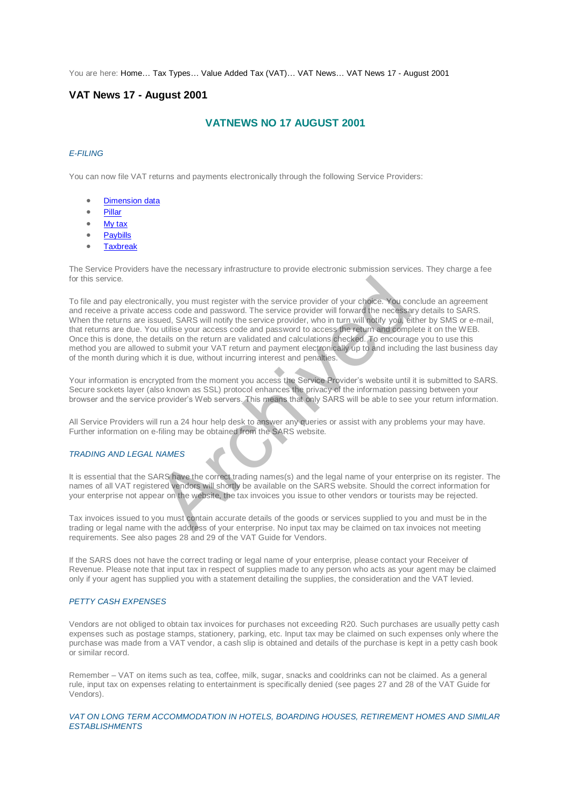You are here: [Home…](http://196.38.114.171/home.asp?pid=1) [Tax Types…](http://196.38.114.171/home.asp?pid=161) [Value Added Tax \(VAT\)…](http://196.38.114.171/home.asp?pid=194) [VAT News…](http://196.38.114.171/home.asp?pid=4722) [VAT News 17 - August 2001](http://196.38.114.171/home.asp?pid=47324) 

# **VAT News 17 - August 2001**

# **VATNEWS NO 17 AUGUST 2001**

### *E-FILING*

You can now file VAT returns and payments electronically through the following Service Providers:

- Dimension data
- [Pillar](http://www.infotax.co.za/)
- [My tax](http://www.mytax.co.za/)
- Paybills
- Taxbreak

The Service Providers have the necessary infrastructure to provide electronic submission services. They charge a fee for this service.

To file and pay electronically, you must register with the service provider of your choice. You conclude an agreement and receive a private access code and password. The service provider will forward the necessary details to SARS. When the returns are issued, SARS will notify the service provider, who in turn will notify you, either by SMS or e-mail, that returns are due. You utilise your access code and password to access the return and complete it on the WEB. Once this is done, the details on the return are validated and calculations checked. To encourage you to use this method you are allowed to submit your VAT return and payment electronically up to and including the last business day of the month during which it is due, without incurring interest and penalties. ically, you must register with the service provider of your choice. You cocess code and password. The service provider will forward the necessa<br>sued, SARS will notify the service provider, who in turn will notify you, ei<br>u

Your information is encrypted from the moment you access the Service Provider's website until it is submitted to SARS. Secure sockets layer (also known as SSL) protocol enhances the privacy of the information passing between your browser and the service provider's Web servers. This means that only SARS will be able to see your return information.

All Service Providers will run a 24 hour help desk to answer any queries or assist with any problems your may have. Further information on e-filing may be obtained from the SARS website.

#### *TRADING AND LEGAL NAMES*

It is essential that the SARS have the correct trading names(s) and the legal name of your enterprise on its register. The names of all VAT registered vendors will shortly be available on the SARS website. Should the correct information for your enterprise not appear on the website, the tax invoices you issue to other vendors or tourists may be rejected.

Tax invoices issued to you must contain accurate details of the goods or services supplied to you and must be in the trading or legal name with the address of your enterprise. No input tax may be claimed on tax invoices not meeting requirements. See also pages 28 and 29 of the VAT Guide for Vendors.

If the SARS does not have the correct trading or legal name of your enterprise, please contact your Receiver of Revenue. Please note that input tax in respect of supplies made to any person who acts as your agent may be claimed only if your agent has supplied you with a statement detailing the supplies, the consideration and the VAT levied.

#### *PETTY CASH EXPENSES*

Vendors are not obliged to obtain tax invoices for purchases not exceeding R20. Such purchases are usually petty cash expenses such as postage stamps, stationery, parking, etc. Input tax may be claimed on such expenses only where the purchase was made from a VAT vendor, a cash slip is obtained and details of the purchase is kept in a petty cash book or similar record.

Remember – VAT on items such as tea, coffee, milk, sugar, snacks and cooldrinks can not be claimed. As a general rule, input tax on expenses relating to entertainment is specifically denied (see pages 27 and 28 of the VAT Guide for Vendors).

### *VAT ON LONG TERM ACCOMMODATION IN HOTELS, BOARDING HOUSES, RETIREMENT HOMES AND SIMILAR ESTABLISHMENTS*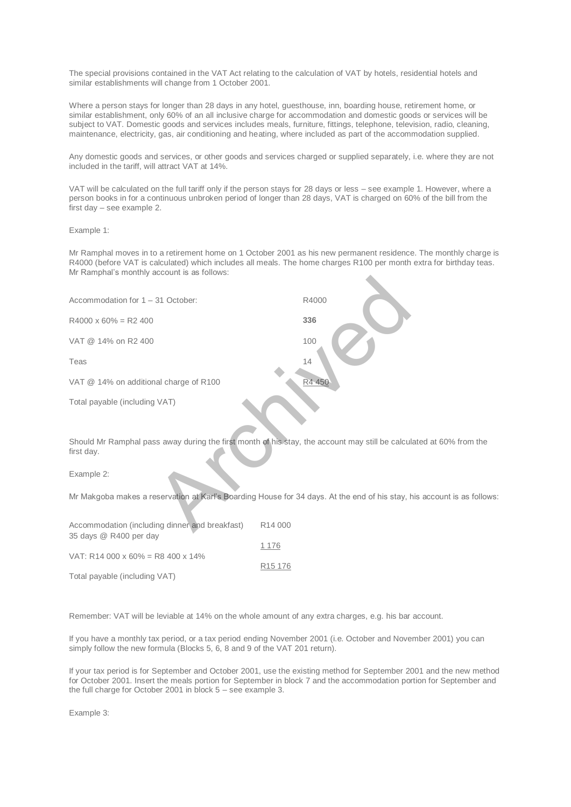The special provisions contained in the VAT Act relating to the calculation of VAT by hotels, residential hotels and similar establishments will change from 1 October 2001.

Where a person stays for longer than 28 days in any hotel, guesthouse, inn, boarding house, retirement home, or similar establishment, only 60% of an all inclusive charge for accommodation and domestic goods or services will be subject to VAT. Domestic goods and services includes meals, furniture, fittings, telephone, television, radio, cleaning, maintenance, electricity, gas, air conditioning and heating, where included as part of the accommodation supplied.

Any domestic goods and services, or other goods and services charged or supplied separately, i.e. where they are not included in the tariff, will attract VAT at 14%.

VAT will be calculated on the full tariff only if the person stays for 28 days or less – see example 1. However, where a person books in for a continuous unbroken period of longer than 28 days, VAT is charged on 60% of the bill from the first day – see example 2.

Example 1:

Mr Ramphal moves in to a retirement home on 1 October 2001 as his new permanent residence. The monthly charge is R4000 (before VAT is calculated) which includes all meals. The home charges R100 per month extra for birthday teas. Mr Ramphal's monthly account is as follows:

| Accommodation for 1 - 31 October:                                                                              | R4000               |
|----------------------------------------------------------------------------------------------------------------|---------------------|
| $R4000 \times 60\% = R2400$                                                                                    | 336                 |
| VAT @ 14% on R2 400                                                                                            | 100                 |
| Teas                                                                                                           | 14                  |
| VAT @ 14% on additional charge of R100                                                                         | R4 450              |
| Total payable (including VAT)                                                                                  |                     |
| Should Mr Ramphal pass away during the first month of his stay, the account may still be calcula<br>first day. |                     |
| Example 2:                                                                                                     |                     |
| Mr Makgoba makes a reservation at Karl's Boarding House for 34 days. At the end of his stay, hi                |                     |
| Accommodation (including dinner and breakfast)                                                                 | R <sub>14</sub> 000 |

Should Mr Ramphal pass away during the first month of his stay, the account may still be calculated at 60% from the first day.

Mr Makgoba makes a reservation at Karl's Boarding House for 34 days. At the end of his stay, his account is as follows:

| Accommodation (including dinner and breakfast)<br>35 days @ R400 per day | R14 000             |
|--------------------------------------------------------------------------|---------------------|
| VAT: R14 000 x 60% = R8 400 x 14%                                        | 1 1 7 6             |
| Total payable (including VAT)                                            | R <sub>15</sub> 176 |

Remember: VAT will be leviable at 14% on the whole amount of any extra charges, e.g. his bar account.

If you have a monthly tax period, or a tax period ending November 2001 (i.e. October and November 2001) you can simply follow the new formula (Blocks 5, 6, 8 and 9 of the VAT 201 return).

If your tax period is for September and October 2001, use the existing method for September 2001 and the new method for October 2001. Insert the meals portion for September in block 7 and the accommodation portion for September and the full charge for October 2001 in block 5 – see example 3.

Example 3: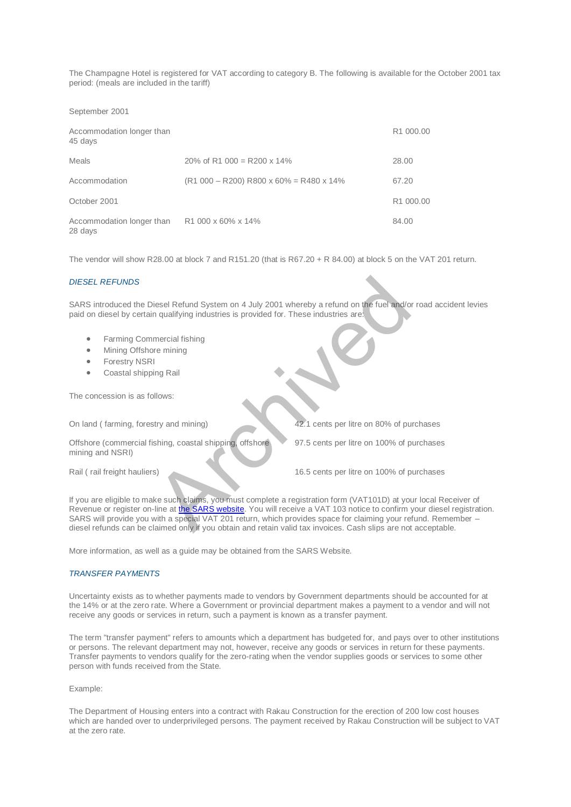The Champagne Hotel is registered for VAT according to category B. The following is available for the October 2001 tax period: (meals are included in the tariff)

September 2001

| Accommodation longer than<br>45 days                    |                                                       | R1 000.00 |
|---------------------------------------------------------|-------------------------------------------------------|-----------|
| Meals                                                   | 20\% of R1 000 = R200 x 14\%                          | 28.00     |
| Accommodation                                           | $(R1 000 - R200) R800 \times 60\% = R480 \times 14\%$ | 67.20     |
| October 2001                                            |                                                       | R1 000.00 |
| Accommodation longer than R1 000 x 60% x 14%<br>28 days |                                                       | 84.00     |

The vendor will show R28.00 at block 7 and R151.20 (that is R67.20 + R 84.00) at block 5 on the VAT 201 return.

#### *DIESEL REFUNDS*

SARS introduced the Diesel Refund System on 4 July 2001 whereby a refund on the fuel and/or road accident levies paid on diesel by certain qualifying industries is provided for. These industries are:

- Farming Commercial fishing
- Mining Offshore mining
- **•** Forestry NSRI
- Coastal shipping Rail

The concession is as follows:

On land ( farming, forestry and mining) 42.1 cents per litre on 80% of purchases

Offshore (commercial fishing, coastal shipping, offshore mining and NSRI)

97.5 cents per litre on 100% of purchases

Rail ( rail freight hauliers) 16.5 cents per litre on 100% of purchases

If you are eligible to make such claims, you must complete a registration form (VAT101D) at your local Receiver of Revenue or register on-line at the SARS website. You will receive a VAT 103 notice to confirm your diesel registration. SARS will provide you with a special VAT 201 return, which provides space for claiming your refund. Remember – diesel refunds can be claimed only if you obtain and retain valid tax invoices. Cash slips are not acceptable. The System on 4 July 2001 whereby a refund on the fuel and/or<br>
in qualifying industries is provided for. These industries are:<br>
The fuel and/or<br>
the mercial fishing<br>
I<br>
Illows:<br>
shing, coastal shipping offshore<br>
Shing, coa

More information, as well as a guide may be obtained from the SARS Website.

## *TRANSFER PAYMENTS*

Uncertainty exists as to whether payments made to vendors by Government departments should be accounted for at the 14% or at the zero rate. Where a Government or provincial department makes a payment to a vendor and will not receive any goods or services in return, such a payment is known as a transfer payment.

The term "transfer payment" refers to amounts which a department has budgeted for, and pays over to other institutions or persons. The relevant department may not, however, receive any goods or services in return for these payments. Transfer payments to vendors qualify for the zero-rating when the vendor supplies goods or services to some other person with funds received from the State.

#### Example:

The Department of Housing enters into a contract with Rakau Construction for the erection of 200 low cost houses which are handed over to underprivileged persons. The payment received by Rakau Construction will be subject to VAT at the zero rate.